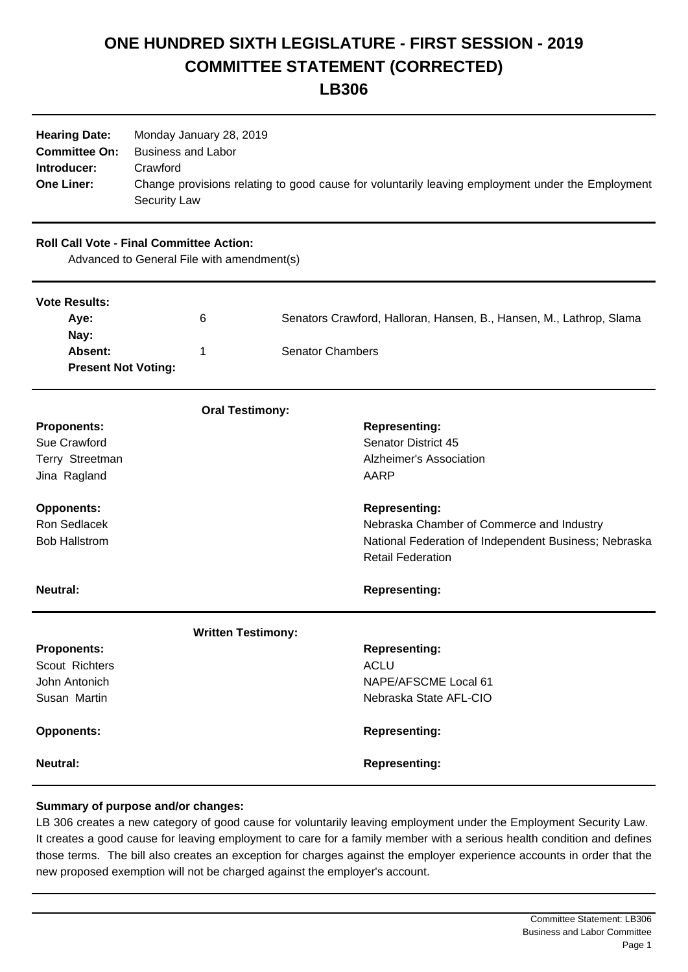## **ONE HUNDRED SIXTH LEGISLATURE - FIRST SESSION - 2019 COMMITTEE STATEMENT (CORRECTED) LB306**

| <b>Hearing Date:</b><br><b>Committee On:</b><br>Introducer:<br><b>One Liner:</b>              | Monday January 28, 2019<br><b>Business and Labor</b><br>Crawford<br><b>Security Law</b> | Change provisions relating to good cause for voluntarily leaving employment under the Employment |
|-----------------------------------------------------------------------------------------------|-----------------------------------------------------------------------------------------|--------------------------------------------------------------------------------------------------|
| <b>Roll Call Vote - Final Committee Action:</b><br>Advanced to General File with amendment(s) |                                                                                         |                                                                                                  |
| <b>Vote Results:</b>                                                                          |                                                                                         |                                                                                                  |
| Aye:                                                                                          | 6                                                                                       | Senators Crawford, Halloran, Hansen, B., Hansen, M., Lathrop, Slama                              |
| Nay:<br>Absent:<br><b>Present Not Voting:</b>                                                 | 1                                                                                       | <b>Senator Chambers</b>                                                                          |
|                                                                                               | <b>Oral Testimony:</b>                                                                  |                                                                                                  |
| <b>Proponents:</b>                                                                            |                                                                                         | <b>Representing:</b>                                                                             |
| Sue Crawford                                                                                  |                                                                                         | <b>Senator District 45</b>                                                                       |
| Terry Streetman                                                                               |                                                                                         | Alzheimer's Association                                                                          |
| Jina Ragland                                                                                  |                                                                                         | <b>AARP</b>                                                                                      |
| <b>Opponents:</b>                                                                             |                                                                                         | <b>Representing:</b>                                                                             |
| Ron Sedlacek                                                                                  |                                                                                         | Nebraska Chamber of Commerce and Industry                                                        |
| <b>Bob Hallstrom</b>                                                                          |                                                                                         | National Federation of Independent Business; Nebraska                                            |
|                                                                                               |                                                                                         | <b>Retail Federation</b>                                                                         |
| <b>Neutral:</b>                                                                               |                                                                                         | <b>Representing:</b>                                                                             |
|                                                                                               | <b>Written Testimony:</b>                                                               |                                                                                                  |
| <b>Proponents:</b>                                                                            |                                                                                         | <b>Representing:</b>                                                                             |
| Scout Richters                                                                                |                                                                                         | <b>ACLU</b>                                                                                      |
| John Antonich                                                                                 |                                                                                         | NAPE/AFSCME Local 61                                                                             |
| Susan Martin                                                                                  |                                                                                         | Nebraska State AFL-CIO                                                                           |
| <b>Opponents:</b>                                                                             |                                                                                         | <b>Representing:</b>                                                                             |
| <b>Neutral:</b>                                                                               |                                                                                         | <b>Representing:</b>                                                                             |

## **Summary of purpose and/or changes:**

LB 306 creates a new category of good cause for voluntarily leaving employment under the Employment Security Law. It creates a good cause for leaving employment to care for a family member with a serious health condition and defines those terms. The bill also creates an exception for charges against the employer experience accounts in order that the new proposed exemption will not be charged against the employer's account.